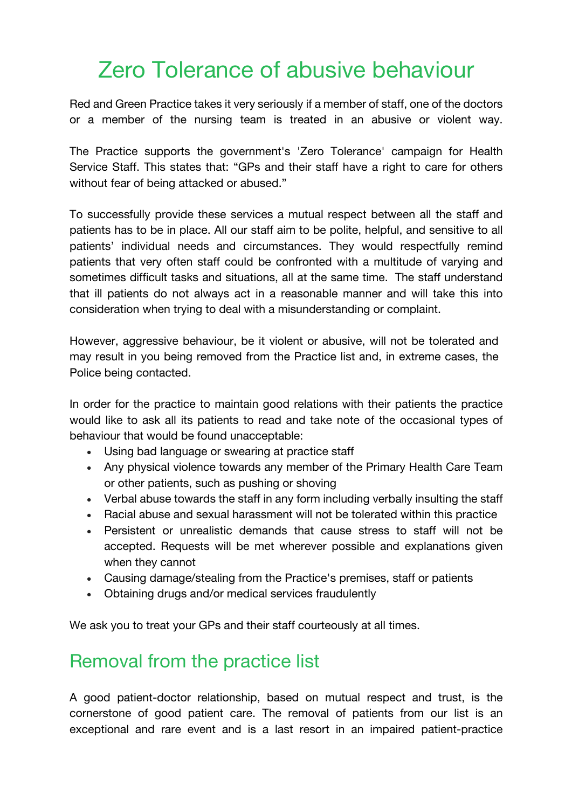## Zero Tolerance of abusive behaviour

Red and Green Practice takes it very seriously if a member of staff, one of the doctors or a member of the nursing team is treated in an abusive or violent way.

The Practice supports the government's 'Zero Tolerance' campaign for Health Service Staff. This states that: "GPs and their staff have a right to care for others without fear of being attacked or abused."

To successfully provide these services a mutual respect between all the staff and patients has to be in place. All our staff aim to be polite, helpful, and sensitive to all patients' individual needs and circumstances. They would respectfully remind patients that very often staff could be confronted with a multitude of varying and sometimes difficult tasks and situations, all at the same time. The staff understand that ill patients do not always act in a reasonable manner and will take this into consideration when trying to deal with a misunderstanding or complaint.

However, aggressive behaviour, be it violent or abusive, will not be tolerated and may result in you being removed from the Practice list and, in extreme cases, the Police being contacted.

In order for the practice to maintain good relations with their patients the practice would like to ask all its patients to read and take note of the occasional types of behaviour that would be found unacceptable:

- Using bad language or swearing at practice staff
- Any physical violence towards any member of the Primary Health Care Team or other patients, such as pushing or shoving
- Verbal abuse towards the staff in any form including verbally insulting the staff
- Racial abuse and sexual harassment will not be tolerated within this practice
- Persistent or unrealistic demands that cause stress to staff will not be accepted. Requests will be met wherever possible and explanations given when they cannot
- Causing damage/stealing from the Practice's premises, staff or patients
- Obtaining drugs and/or medical services fraudulently

We ask you to treat your GPs and their staff courteously at all times.

## Removal from the practice list

A good patient-doctor relationship, based on mutual respect and trust, is the cornerstone of good patient care. The removal of patients from our list is an exceptional and rare event and is a last resort in an impaired patient-practice